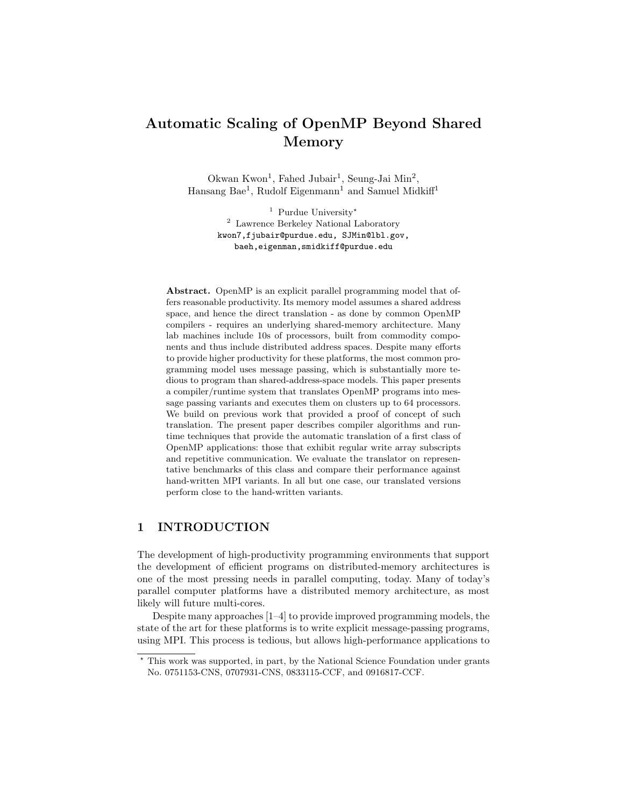# Automatic Scaling of OpenMP Beyond Shared Memory

Okwan Kwon<sup>1</sup>, Fahed Jubair<sup>1</sup>, Seung-Jai Min<sup>2</sup>, Hansang Bae<sup>1</sup>, Rudolf Eigenmann<sup>1</sup> and Samuel Midkiff<sup>1</sup>

> <sup>1</sup> Purdue University<sup>\*</sup> <sup>2</sup> Lawrence Berkeley National Laboratory kwon7,fjubair@purdue.edu, SJMin@lbl.gov, baeh,eigenman,smidkiff@purdue.edu

Abstract. OpenMP is an explicit parallel programming model that offers reasonable productivity. Its memory model assumes a shared address space, and hence the direct translation - as done by common OpenMP compilers - requires an underlying shared-memory architecture. Many lab machines include 10s of processors, built from commodity components and thus include distributed address spaces. Despite many efforts to provide higher productivity for these platforms, the most common programming model uses message passing, which is substantially more tedious to program than shared-address-space models. This paper presents a compiler/runtime system that translates OpenMP programs into message passing variants and executes them on clusters up to 64 processors. We build on previous work that provided a proof of concept of such translation. The present paper describes compiler algorithms and runtime techniques that provide the automatic translation of a first class of OpenMP applications: those that exhibit regular write array subscripts and repetitive communication. We evaluate the translator on representative benchmarks of this class and compare their performance against hand-written MPI variants. In all but one case, our translated versions perform close to the hand-written variants.

# 1 INTRODUCTION

The development of high-productivity programming environments that support the development of efficient programs on distributed-memory architectures is one of the most pressing needs in parallel computing, today. Many of today's parallel computer platforms have a distributed memory architecture, as most likely will future multi-cores.

Despite many approaches [1–4] to provide improved programming models, the state of the art for these platforms is to write explicit message-passing programs, using MPI. This process is tedious, but allows high-performance applications to

<sup>?</sup> This work was supported, in part, by the National Science Foundation under grants No. 0751153-CNS, 0707931-CNS, 0833115-CCF, and 0916817-CCF.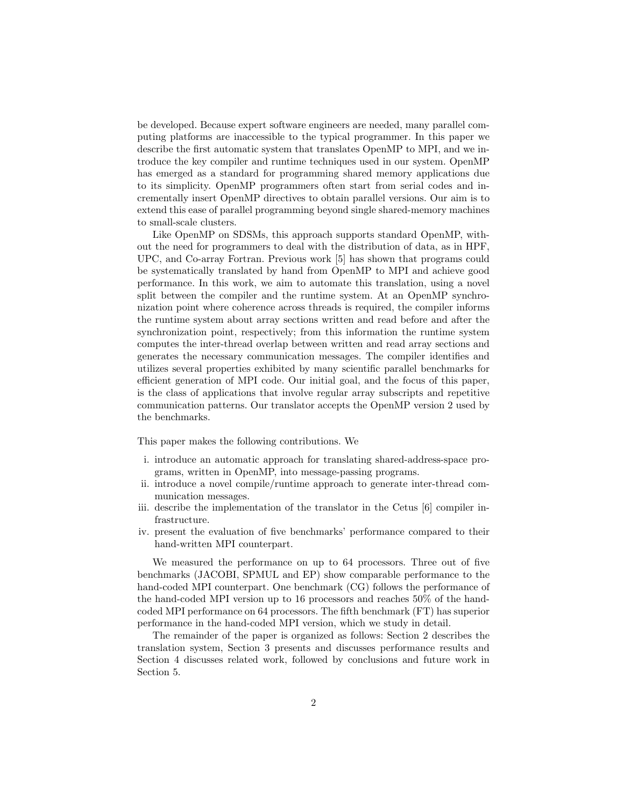be developed. Because expert software engineers are needed, many parallel computing platforms are inaccessible to the typical programmer. In this paper we describe the first automatic system that translates OpenMP to MPI, and we introduce the key compiler and runtime techniques used in our system. OpenMP has emerged as a standard for programming shared memory applications due to its simplicity. OpenMP programmers often start from serial codes and incrementally insert OpenMP directives to obtain parallel versions. Our aim is to extend this ease of parallel programming beyond single shared-memory machines to small-scale clusters.

Like OpenMP on SDSMs, this approach supports standard OpenMP, without the need for programmers to deal with the distribution of data, as in HPF, UPC, and Co-array Fortran. Previous work [5] has shown that programs could be systematically translated by hand from OpenMP to MPI and achieve good performance. In this work, we aim to automate this translation, using a novel split between the compiler and the runtime system. At an OpenMP synchronization point where coherence across threads is required, the compiler informs the runtime system about array sections written and read before and after the synchronization point, respectively; from this information the runtime system computes the inter-thread overlap between written and read array sections and generates the necessary communication messages. The compiler identifies and utilizes several properties exhibited by many scientific parallel benchmarks for efficient generation of MPI code. Our initial goal, and the focus of this paper, is the class of applications that involve regular array subscripts and repetitive communication patterns. Our translator accepts the OpenMP version 2 used by the benchmarks.

This paper makes the following contributions. We

- i. introduce an automatic approach for translating shared-address-space programs, written in OpenMP, into message-passing programs.
- ii. introduce a novel compile/runtime approach to generate inter-thread communication messages.
- iii. describe the implementation of the translator in the Cetus [6] compiler infrastructure.
- iv. present the evaluation of five benchmarks' performance compared to their hand-written MPI counterpart.

We measured the performance on up to 64 processors. Three out of five benchmarks (JACOBI, SPMUL and EP) show comparable performance to the hand-coded MPI counterpart. One benchmark (CG) follows the performance of the hand-coded MPI version up to 16 processors and reaches 50% of the handcoded MPI performance on 64 processors. The fifth benchmark (FT) has superior performance in the hand-coded MPI version, which we study in detail.

The remainder of the paper is organized as follows: Section 2 describes the translation system, Section 3 presents and discusses performance results and Section 4 discusses related work, followed by conclusions and future work in Section 5.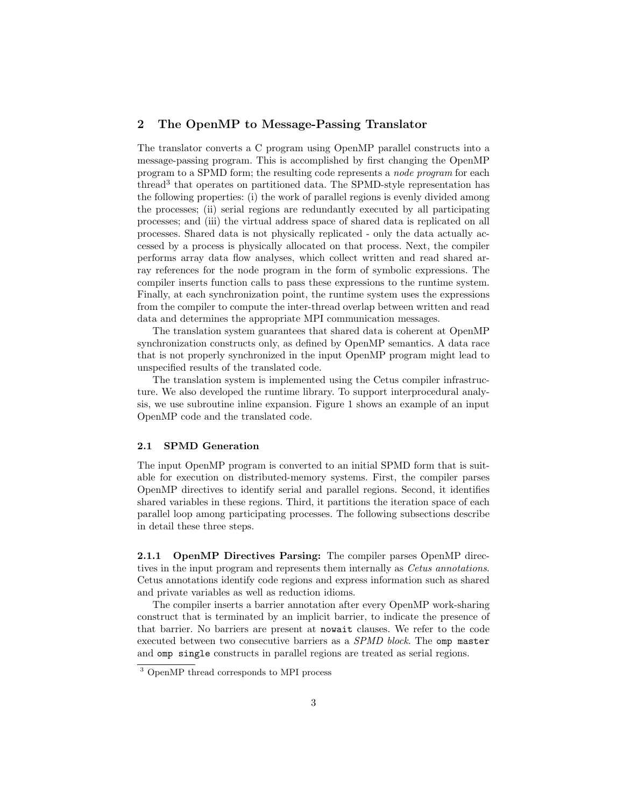## 2 The OpenMP to Message-Passing Translator

The translator converts a C program using OpenMP parallel constructs into a message-passing program. This is accomplished by first changing the OpenMP program to a SPMD form; the resulting code represents a node program for each thread<sup>3</sup> that operates on partitioned data. The SPMD-style representation has the following properties: (i) the work of parallel regions is evenly divided among the processes; (ii) serial regions are redundantly executed by all participating processes; and (iii) the virtual address space of shared data is replicated on all processes. Shared data is not physically replicated - only the data actually accessed by a process is physically allocated on that process. Next, the compiler performs array data flow analyses, which collect written and read shared array references for the node program in the form of symbolic expressions. The compiler inserts function calls to pass these expressions to the runtime system. Finally, at each synchronization point, the runtime system uses the expressions from the compiler to compute the inter-thread overlap between written and read data and determines the appropriate MPI communication messages.

The translation system guarantees that shared data is coherent at OpenMP synchronization constructs only, as defined by OpenMP semantics. A data race that is not properly synchronized in the input OpenMP program might lead to unspecified results of the translated code.

The translation system is implemented using the Cetus compiler infrastructure. We also developed the runtime library. To support interprocedural analysis, we use subroutine inline expansion. Figure 1 shows an example of an input OpenMP code and the translated code.

#### 2.1 SPMD Generation

The input OpenMP program is converted to an initial SPMD form that is suitable for execution on distributed-memory systems. First, the compiler parses OpenMP directives to identify serial and parallel regions. Second, it identifies shared variables in these regions. Third, it partitions the iteration space of each parallel loop among participating processes. The following subsections describe in detail these three steps.

2.1.1 OpenMP Directives Parsing: The compiler parses OpenMP directives in the input program and represents them internally as *Cetus annotations*. Cetus annotations identify code regions and express information such as shared and private variables as well as reduction idioms.

The compiler inserts a barrier annotation after every OpenMP work-sharing construct that is terminated by an implicit barrier, to indicate the presence of that barrier. No barriers are present at nowait clauses. We refer to the code executed between two consecutive barriers as a SPMD block. The omp master and omp single constructs in parallel regions are treated as serial regions.

<sup>3</sup> OpenMP thread corresponds to MPI process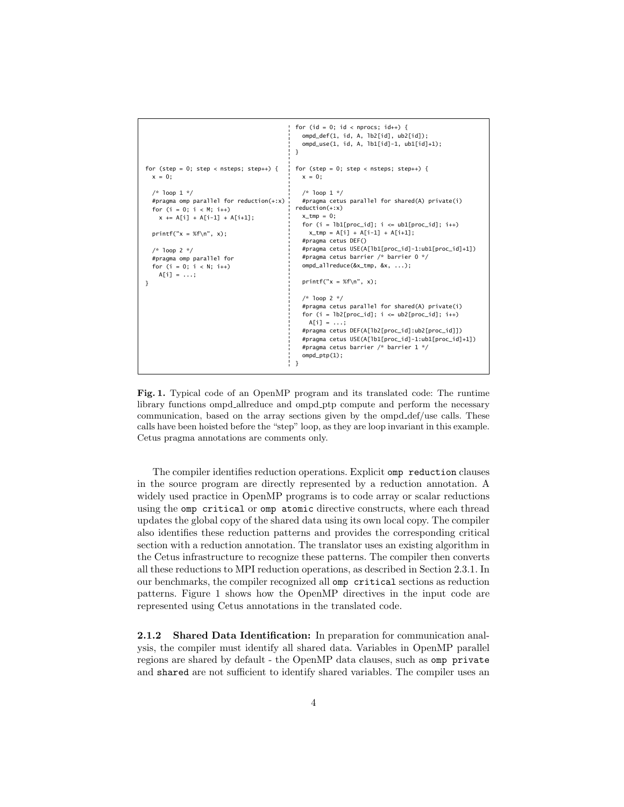```
for (step = 0: step < nsteps: step++) {
  x = 0;
  /* 1000 1 */ #pragma omp parallel for reduction(+:x)
  for (i = 0; i < M; i++)x \leftarrow A[i] + A[i-1] + A[i+1];printf("x = %f\in X):
  /* 1000 2 */ #pragma omp parallel for
  for (i = 0; i < N; i++)A[i] = \ldots;}
                                              for (id = 0; id < nprocs; id++) {
                                                 ompd_def(1, id, A, lb2[id], ub2[id]);
                                                 ompd_use(1, id, A, lb1[id]-1, ub1[id]+1);
                                              }
                                              for (step = 0; step < nsteps; step++) {
                                                x = 0:
                                                 /* loop 1 */ #pragma cetus parallel for shared(A) private(i) 
                                              reduction(+:x)
                                                x_tmp = 0;
                                                for (i = 1b1[proc_id]; i \leq \text{ub1}[proc_id]; i^{++})
                                                  x_{\text{temp}} = A[i] + A[i-1] + A[i+1]; #pragma cetus DEF()
                                                 #pragma cetus USE(A[lb1[proc_id]-1:ub1[proc_id]+1])
                                                 #pragma cetus barrier /* barrier 0 */
                                                 ompd_allreduce(&x_tmp, &x, ...);
                                                printf("x = %f\n\infty", x);
                                                  /* loop 2 */
                                                 #pragma cetus parallel for shared(A) private(i)
                                                 for (i = lb2[proc_id]; i \le ub2[proc_id]; i++)A[i] = \ldots; #pragma cetus DEF(A[lb2[proc_id]:ub2[proc_id]])
                                                  #pragma cetus USE(A[lb1[proc_id]-1:ub1[proc_id]+1])
                                                 #pragma cetus barrier /* barrier 1 */
                                                 ompd_ptp(1);
                                             }
```
Fig. 1. Typical code of an OpenMP program and its translated code: The runtime library functions ompd\_allreduce and ompd\_ptp compute and perform the necessary communication, based on the array sections given by the ompd def/use calls. These calls have been hoisted before the "step" loop, as they are loop invariant in this example. Cetus pragma annotations are comments only.

The compiler identifies reduction operations. Explicit omp reduction clauses in the source program are directly represented by a reduction annotation. A widely used practice in OpenMP programs is to code array or scalar reductions using the omp critical or omp atomic directive constructs, where each thread updates the global copy of the shared data using its own local copy. The compiler also identifies these reduction patterns and provides the corresponding critical section with a reduction annotation. The translator uses an existing algorithm in the Cetus infrastructure to recognize these patterns. The compiler then converts all these reductions to MPI reduction operations, as described in Section 2.3.1. In our benchmarks, the compiler recognized all omp critical sections as reduction patterns. Figure 1 shows how the OpenMP directives in the input code are represented using Cetus annotations in the translated code.

2.1.2 Shared Data Identification: In preparation for communication analysis, the compiler must identify all shared data. Variables in OpenMP parallel regions are shared by default - the OpenMP data clauses, such as omp private and shared are not sufficient to identify shared variables. The compiler uses an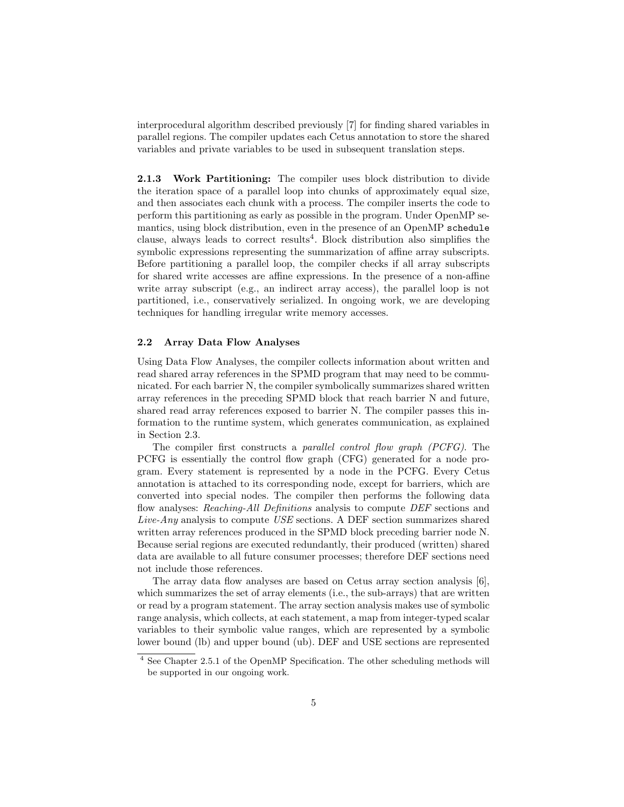interprocedural algorithm described previously [7] for finding shared variables in parallel regions. The compiler updates each Cetus annotation to store the shared variables and private variables to be used in subsequent translation steps.

2.1.3 Work Partitioning: The compiler uses block distribution to divide the iteration space of a parallel loop into chunks of approximately equal size, and then associates each chunk with a process. The compiler inserts the code to perform this partitioning as early as possible in the program. Under OpenMP semantics, using block distribution, even in the presence of an OpenMP schedule clause, always leads to correct results<sup>4</sup>. Block distribution also simplifies the symbolic expressions representing the summarization of affine array subscripts. Before partitioning a parallel loop, the compiler checks if all array subscripts for shared write accesses are affine expressions. In the presence of a non-affine write array subscript (e.g., an indirect array access), the parallel loop is not partitioned, i.e., conservatively serialized. In ongoing work, we are developing techniques for handling irregular write memory accesses.

#### 2.2 Array Data Flow Analyses

Using Data Flow Analyses, the compiler collects information about written and read shared array references in the SPMD program that may need to be communicated. For each barrier N, the compiler symbolically summarizes shared written array references in the preceding SPMD block that reach barrier N and future, shared read array references exposed to barrier N. The compiler passes this information to the runtime system, which generates communication, as explained in Section 2.3.

The compiler first constructs a parallel control flow graph (PCFG). The PCFG is essentially the control flow graph (CFG) generated for a node program. Every statement is represented by a node in the PCFG. Every Cetus annotation is attached to its corresponding node, except for barriers, which are converted into special nodes. The compiler then performs the following data flow analyses: Reaching-All Definitions analysis to compute DEF sections and Live-Any analysis to compute USE sections. A DEF section summarizes shared written array references produced in the SPMD block preceding barrier node N. Because serial regions are executed redundantly, their produced (written) shared data are available to all future consumer processes; therefore DEF sections need not include those references.

The array data flow analyses are based on Cetus array section analysis [6], which summarizes the set of array elements (i.e., the sub-arrays) that are written or read by a program statement. The array section analysis makes use of symbolic range analysis, which collects, at each statement, a map from integer-typed scalar variables to their symbolic value ranges, which are represented by a symbolic lower bound (lb) and upper bound (ub). DEF and USE sections are represented

<sup>4</sup> See Chapter 2.5.1 of the OpenMP Specification. The other scheduling methods will be supported in our ongoing work.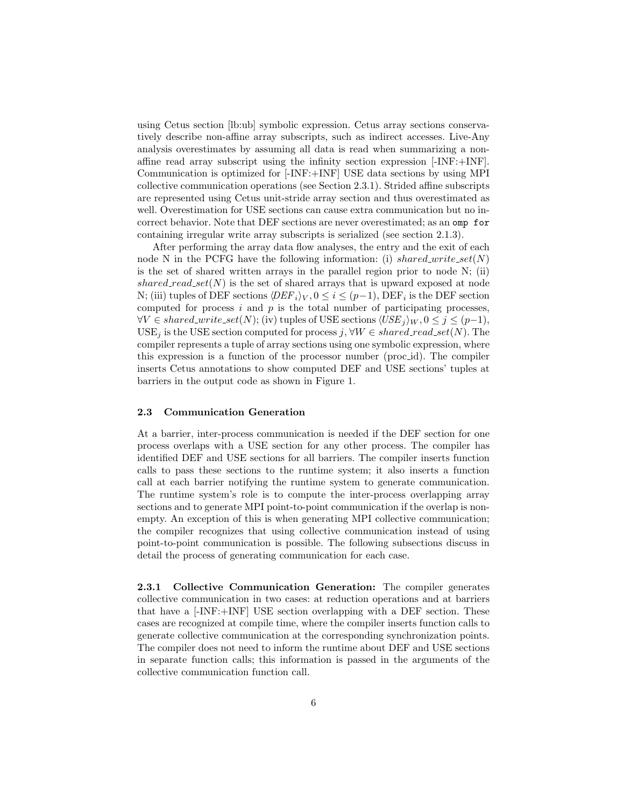using Cetus section [lb:ub] symbolic expression. Cetus array sections conservatively describe non-affine array subscripts, such as indirect accesses. Live-Any analysis overestimates by assuming all data is read when summarizing a nonaffine read array subscript using the infinity section expression [-INF:+INF]. Communication is optimized for [-INF:+INF] USE data sections by using MPI collective communication operations (see Section 2.3.1). Strided affine subscripts are represented using Cetus unit-stride array section and thus overestimated as well. Overestimation for USE sections can cause extra communication but no incorrect behavior. Note that DEF sections are never overestimated; as an omp for containing irregular write array subscripts is serialized (see section 2.1.3).

After performing the array data flow analyses, the entry and the exit of each node N in the PCFG have the following information: (i) shared write set  $(N)$ is the set of shared written arrays in the parallel region prior to node N; (ii) shared read set(N) is the set of shared arrays that is upward exposed at node N; (iii) tuples of DEF sections  $\langle DEF_i \rangle_V, 0 \le i \le (p-1)$ , DEF<sub>i</sub> is the DEF section computed for process  $i$  and  $p$  is the total number of participating processes,  $\forall V \in shared\_write\_set(N);$  (iv) tuples of USE sections  $\langle USE_j \rangle_W, 0 \leq j \leq (p-1),$ USE<sub>j</sub> is the USE section computed for process j,  $\forall W \in shared\_read\_set(N)$ . The compiler represents a tuple of array sections using one symbolic expression, where this expression is a function of the processor number (proc id). The compiler inserts Cetus annotations to show computed DEF and USE sections' tuples at barriers in the output code as shown in Figure 1.

#### 2.3 Communication Generation

At a barrier, inter-process communication is needed if the DEF section for one process overlaps with a USE section for any other process. The compiler has identified DEF and USE sections for all barriers. The compiler inserts function calls to pass these sections to the runtime system; it also inserts a function call at each barrier notifying the runtime system to generate communication. The runtime system's role is to compute the inter-process overlapping array sections and to generate MPI point-to-point communication if the overlap is nonempty. An exception of this is when generating MPI collective communication; the compiler recognizes that using collective communication instead of using point-to-point communication is possible. The following subsections discuss in detail the process of generating communication for each case.

2.3.1 Collective Communication Generation: The compiler generates collective communication in two cases: at reduction operations and at barriers that have a [-INF:+INF] USE section overlapping with a DEF section. These cases are recognized at compile time, where the compiler inserts function calls to generate collective communication at the corresponding synchronization points. The compiler does not need to inform the runtime about DEF and USE sections in separate function calls; this information is passed in the arguments of the collective communication function call.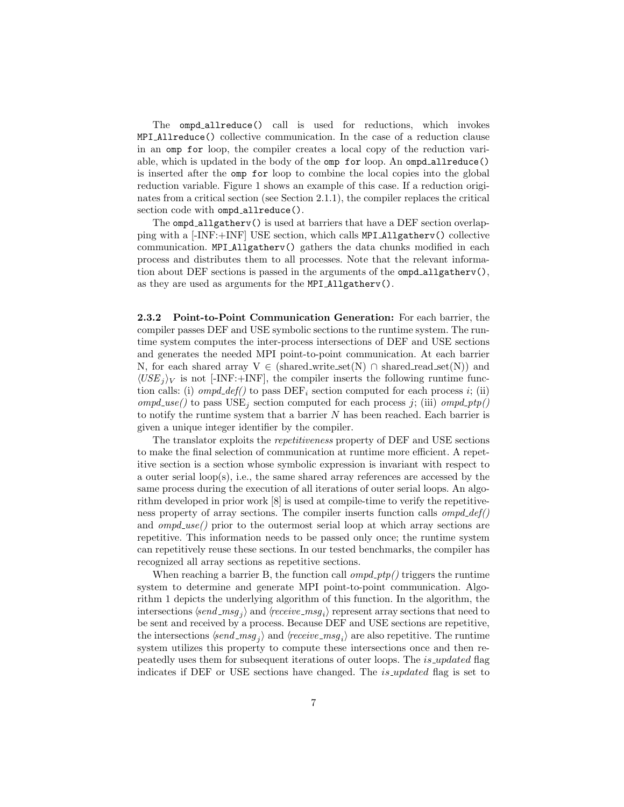The ompd\_allreduce() call is used for reductions, which invokes MPI Allreduce() collective communication. In the case of a reduction clause in an omp for loop, the compiler creates a local copy of the reduction variable, which is updated in the body of the omp for loop. An ompd\_allreduce() is inserted after the omp for loop to combine the local copies into the global reduction variable. Figure 1 shows an example of this case. If a reduction originates from a critical section (see Section 2.1.1), the compiler replaces the critical section code with ompd\_allreduce().

The ompd allgatherv() is used at barriers that have a DEF section overlapping with a [-INF:+INF] USE section, which calls MPI Allgatherv() collective communication. MPI Allgatherv() gathers the data chunks modified in each process and distributes them to all processes. Note that the relevant information about DEF sections is passed in the arguments of the  $ompd$ -allgatherv(), as they are used as arguments for the MPI Allgatherv().

2.3.2 Point-to-Point Communication Generation: For each barrier, the compiler passes DEF and USE symbolic sections to the runtime system. The runtime system computes the inter-process intersections of DEF and USE sections and generates the needed MPI point-to-point communication. At each barrier N, for each shared array  $V \in$  (shared\_write\_set(N) ∩ shared\_read\_set(N)) and  $\langle USE_j \rangle_V$  is not [-INF:+INF], the compiler inserts the following runtime function calls: (i)  $ompd\_def()$  to pass  $DEF_i$  section computed for each process i; (ii)  $ompd_use()$  to pass  $USE<sub>i</sub>$  section computed for each process j; (iii)  $ompd_ptp()$ to notify the runtime system that a barrier  $N$  has been reached. Each barrier is given a unique integer identifier by the compiler.

The translator exploits the repetitiveness property of DEF and USE sections to make the final selection of communication at runtime more efficient. A repetitive section is a section whose symbolic expression is invariant with respect to a outer serial loop(s), i.e., the same shared array references are accessed by the same process during the execution of all iterations of outer serial loops. An algorithm developed in prior work [8] is used at compile-time to verify the repetitiveness property of array sections. The compiler inserts function calls  $ompd\_def()$ and  $ompd_use()$  prior to the outermost serial loop at which array sections are repetitive. This information needs to be passed only once; the runtime system can repetitively reuse these sections. In our tested benchmarks, the compiler has recognized all array sections as repetitive sections.

When reaching a barrier B, the function call  $ompd\_ptp()$  triggers the runtime system to determine and generate MPI point-to-point communication. Algorithm 1 depicts the underlying algorithm of this function. In the algorithm, the intersections  $\langle send\_msg_j \rangle$  and  $\langle receive\_msg_i \rangle$  represent array sections that need to be sent and received by a process. Because DEF and USE sections are repetitive, the intersections  $\langle send\_msg_j \rangle$  and  $\langle receive\_msg_i \rangle$  are also repetitive. The runtime system utilizes this property to compute these intersections once and then repeatedly uses them for subsequent iterations of outer loops. The is updated flag indicates if DEF or USE sections have changed. The *is updated* flag is set to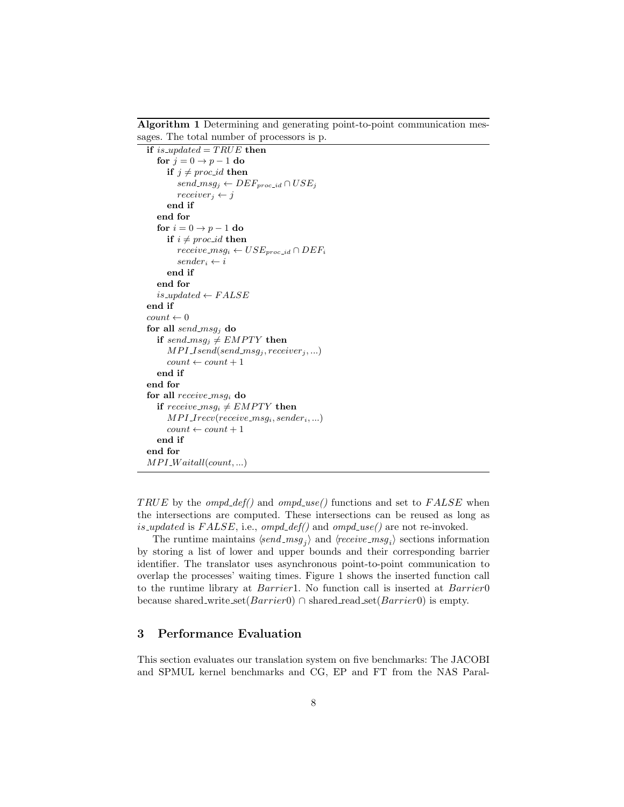Algorithm 1 Determining and generating point-to-point communication messages. The total number of processors is p.

```
if is updated = TRUE then
   for j = 0 \rightarrow p - 1 do
     if j \neq proc\_id then
        send\_msg_j \leftarrow DEF_{proc\_id} \cap USE_jreceiver_j \leftarrow jend if
   end for
   for i = 0 \rightarrow p - 1 do
     if i \neq proc\_id then
        receive\_msg_i \leftarrow USE_{proc\_id} \cap DEF_isender_i \leftarrow iend if
   end for
   is\_updated \leftarrow FALSEend if
count \leftarrow 0for all send msg<sub>j</sub> do
   if send\_msg_j \neq EMPTY then
     MPI\_Isend(send_msg_j, receiver_j, ...)count \leftarrow count + 1end if
end for
for all receive msq<sub>i</sub> do
   if receive\_msg_i \neq EMPTY then
     MPI\_Irecv(receive_msg_i, sender_i, ...)count \leftarrow count + 1end if
end for
MPI\_Waitall(count, ...)
```
TRUE by the *ompd\_def()* and *ompd\_use()* functions and set to  $FALSE$  when the intersections are computed. These intersections can be reused as long as is updated is  $FALSE$ , i.e., ompd\_def() and ompd\_use() are not re-invoked.

The runtime maintains  $\langle send\_{msg_j}\rangle$  and  $\langle receive\_{msg_i}\rangle$  sections information by storing a list of lower and upper bounds and their corresponding barrier identifier. The translator uses asynchronous point-to-point communication to overlap the processes' waiting times. Figure 1 shows the inserted function call to the runtime library at *Barrier1*. No function call is inserted at *Barrier*0 because shared\_write\_set( $Barrier0$ ) ∩ shared\_read\_set( $Barrier0$ ) is empty.

# 3 Performance Evaluation

This section evaluates our translation system on five benchmarks: The JACOBI and SPMUL kernel benchmarks and CG, EP and FT from the NAS Paral-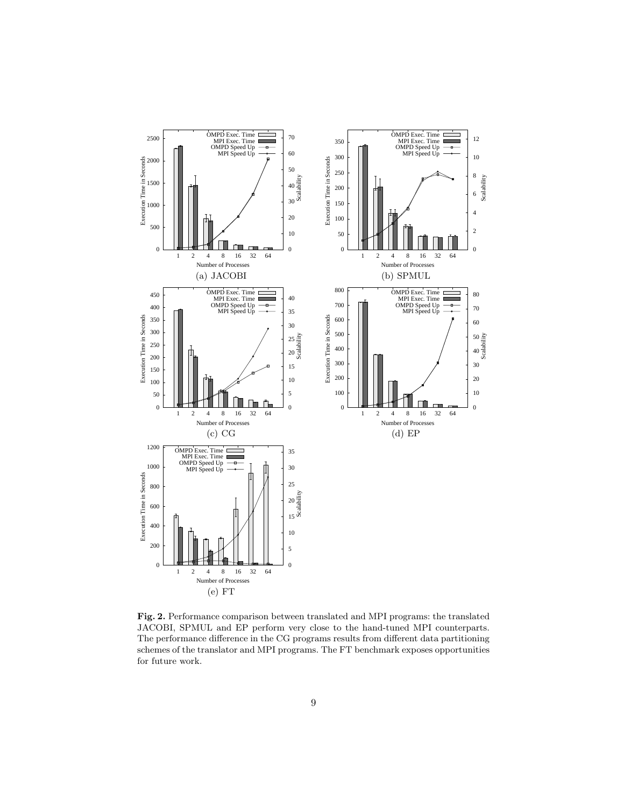

Fig. 2. Performance comparison between translated and MPI programs: the translated JACOBI, SPMUL and EP perform very close to the hand-tuned MPI counterparts. The performance difference in the CG programs results from different data partitioning schemes of the translator and MPI programs. The FT benchmark exposes opportunities for future work.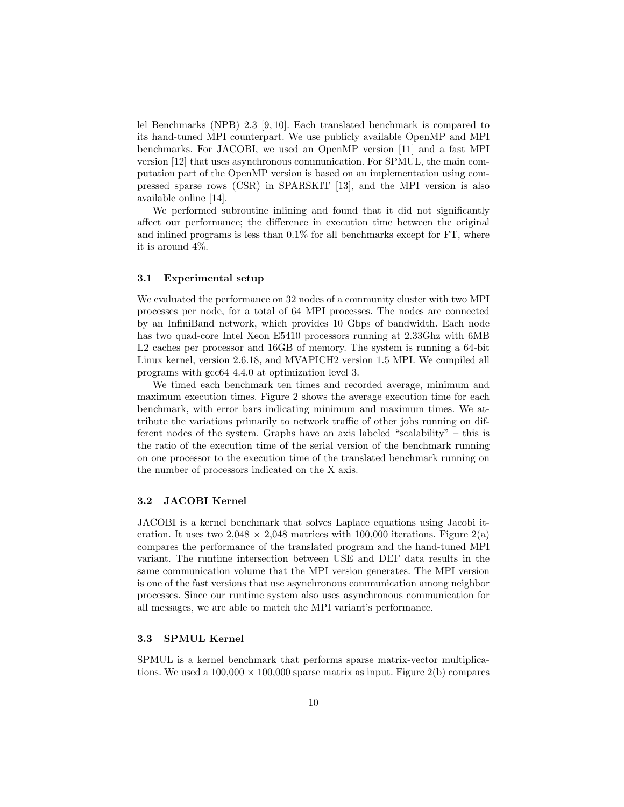lel Benchmarks (NPB) 2.3 [9, 10]. Each translated benchmark is compared to its hand-tuned MPI counterpart. We use publicly available OpenMP and MPI benchmarks. For JACOBI, we used an OpenMP version [11] and a fast MPI version [12] that uses asynchronous communication. For SPMUL, the main computation part of the OpenMP version is based on an implementation using compressed sparse rows (CSR) in SPARSKIT [13], and the MPI version is also available online [14].

We performed subroutine inlining and found that it did not significantly affect our performance; the difference in execution time between the original and inlined programs is less than  $0.1\%$  for all benchmarks except for FT, where it is around 4%.

#### 3.1 Experimental setup

We evaluated the performance on 32 nodes of a community cluster with two MPI processes per node, for a total of 64 MPI processes. The nodes are connected by an InfiniBand network, which provides 10 Gbps of bandwidth. Each node has two quad-core Intel Xeon E5410 processors running at 2.33Ghz with 6MB L2 caches per processor and 16GB of memory. The system is running a 64-bit Linux kernel, version 2.6.18, and MVAPICH2 version 1.5 MPI. We compiled all programs with gcc64 4.4.0 at optimization level 3.

We timed each benchmark ten times and recorded average, minimum and maximum execution times. Figure 2 shows the average execution time for each benchmark, with error bars indicating minimum and maximum times. We attribute the variations primarily to network traffic of other jobs running on different nodes of the system. Graphs have an axis labeled "scalability" – this is the ratio of the execution time of the serial version of the benchmark running on one processor to the execution time of the translated benchmark running on the number of processors indicated on the X axis.

## 3.2 JACOBI Kernel

JACOBI is a kernel benchmark that solves Laplace equations using Jacobi iteration. It uses two  $2,048 \times 2,048$  matrices with 100,000 iterations. Figure 2(a) compares the performance of the translated program and the hand-tuned MPI variant. The runtime intersection between USE and DEF data results in the same communication volume that the MPI version generates. The MPI version is one of the fast versions that use asynchronous communication among neighbor processes. Since our runtime system also uses asynchronous communication for all messages, we are able to match the MPI variant's performance.

## 3.3 SPMUL Kernel

SPMUL is a kernel benchmark that performs sparse matrix-vector multiplications. We used a  $100,000 \times 100,000$  sparse matrix as input. Figure 2(b) compares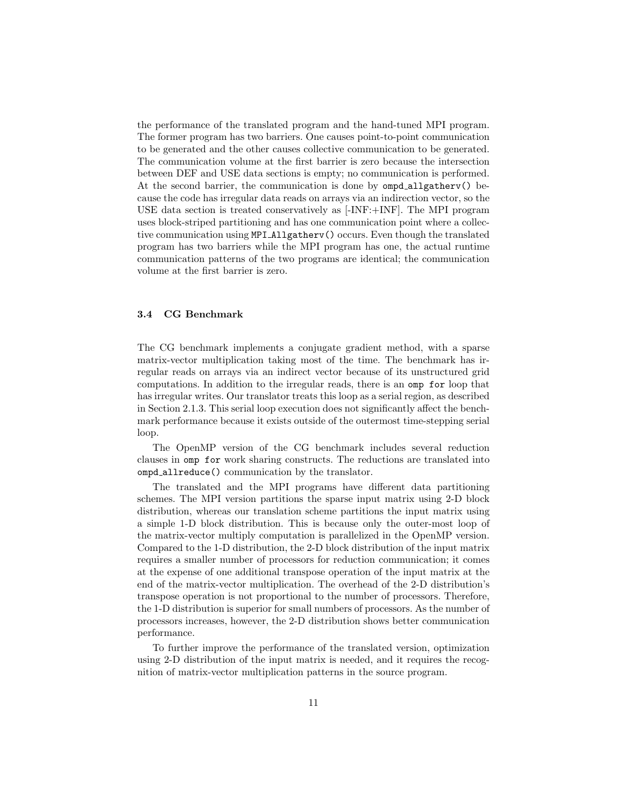the performance of the translated program and the hand-tuned MPI program. The former program has two barriers. One causes point-to-point communication to be generated and the other causes collective communication to be generated. The communication volume at the first barrier is zero because the intersection between DEF and USE data sections is empty; no communication is performed. At the second barrier, the communication is done by  $\text{ompd}_\text{allgather}()$  because the code has irregular data reads on arrays via an indirection vector, so the USE data section is treated conservatively as [-INF:+INF]. The MPI program uses block-striped partitioning and has one communication point where a collective communication using MPI Allgatherv() occurs. Even though the translated program has two barriers while the MPI program has one, the actual runtime communication patterns of the two programs are identical; the communication volume at the first barrier is zero.

#### 3.4 CG Benchmark

The CG benchmark implements a conjugate gradient method, with a sparse matrix-vector multiplication taking most of the time. The benchmark has irregular reads on arrays via an indirect vector because of its unstructured grid computations. In addition to the irregular reads, there is an omp for loop that has irregular writes. Our translator treats this loop as a serial region, as described in Section 2.1.3. This serial loop execution does not significantly affect the benchmark performance because it exists outside of the outermost time-stepping serial loop.

The OpenMP version of the CG benchmark includes several reduction clauses in omp for work sharing constructs. The reductions are translated into ompd allreduce() communication by the translator.

The translated and the MPI programs have different data partitioning schemes. The MPI version partitions the sparse input matrix using 2-D block distribution, whereas our translation scheme partitions the input matrix using a simple 1-D block distribution. This is because only the outer-most loop of the matrix-vector multiply computation is parallelized in the OpenMP version. Compared to the 1-D distribution, the 2-D block distribution of the input matrix requires a smaller number of processors for reduction communication; it comes at the expense of one additional transpose operation of the input matrix at the end of the matrix-vector multiplication. The overhead of the 2-D distribution's transpose operation is not proportional to the number of processors. Therefore, the 1-D distribution is superior for small numbers of processors. As the number of processors increases, however, the 2-D distribution shows better communication performance.

To further improve the performance of the translated version, optimization using 2-D distribution of the input matrix is needed, and it requires the recognition of matrix-vector multiplication patterns in the source program.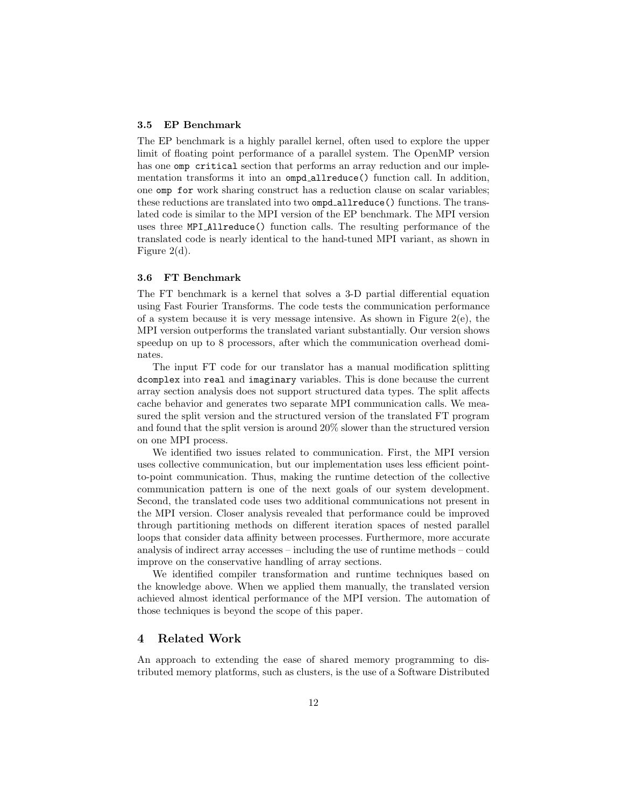#### 3.5 EP Benchmark

The EP benchmark is a highly parallel kernel, often used to explore the upper limit of floating point performance of a parallel system. The OpenMP version has one omp critical section that performs an array reduction and our implementation transforms it into an ompd\_allreduce() function call. In addition, one omp for work sharing construct has a reduction clause on scalar variables; these reductions are translated into two ompd\_allreduce() functions. The translated code is similar to the MPI version of the EP benchmark. The MPI version uses three MPI Allreduce() function calls. The resulting performance of the translated code is nearly identical to the hand-tuned MPI variant, as shown in Figure 2(d).

#### 3.6 FT Benchmark

The FT benchmark is a kernel that solves a 3-D partial differential equation using Fast Fourier Transforms. The code tests the communication performance of a system because it is very message intensive. As shown in Figure  $2(e)$ , the MPI version outperforms the translated variant substantially. Our version shows speedup on up to 8 processors, after which the communication overhead dominates.

The input FT code for our translator has a manual modification splitting dcomplex into real and imaginary variables. This is done because the current array section analysis does not support structured data types. The split affects cache behavior and generates two separate MPI communication calls. We measured the split version and the structured version of the translated FT program and found that the split version is around 20% slower than the structured version on one MPI process.

We identified two issues related to communication. First, the MPI version uses collective communication, but our implementation uses less efficient pointto-point communication. Thus, making the runtime detection of the collective communication pattern is one of the next goals of our system development. Second, the translated code uses two additional communications not present in the MPI version. Closer analysis revealed that performance could be improved through partitioning methods on different iteration spaces of nested parallel loops that consider data affinity between processes. Furthermore, more accurate analysis of indirect array accesses – including the use of runtime methods – could improve on the conservative handling of array sections.

We identified compiler transformation and runtime techniques based on the knowledge above. When we applied them manually, the translated version achieved almost identical performance of the MPI version. The automation of those techniques is beyond the scope of this paper.

## 4 Related Work

An approach to extending the ease of shared memory programming to distributed memory platforms, such as clusters, is the use of a Software Distributed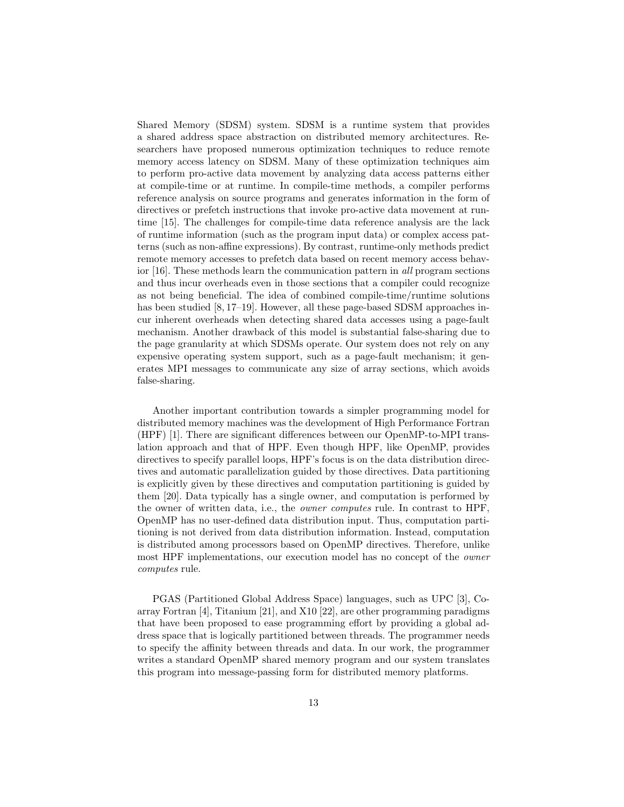Shared Memory (SDSM) system. SDSM is a runtime system that provides a shared address space abstraction on distributed memory architectures. Researchers have proposed numerous optimization techniques to reduce remote memory access latency on SDSM. Many of these optimization techniques aim to perform pro-active data movement by analyzing data access patterns either at compile-time or at runtime. In compile-time methods, a compiler performs reference analysis on source programs and generates information in the form of directives or prefetch instructions that invoke pro-active data movement at runtime [15]. The challenges for compile-time data reference analysis are the lack of runtime information (such as the program input data) or complex access patterns (such as non-affine expressions). By contrast, runtime-only methods predict remote memory accesses to prefetch data based on recent memory access behavior [16]. These methods learn the communication pattern in all program sections and thus incur overheads even in those sections that a compiler could recognize as not being beneficial. The idea of combined compile-time/runtime solutions has been studied [8, 17–19]. However, all these page-based SDSM approaches incur inherent overheads when detecting shared data accesses using a page-fault mechanism. Another drawback of this model is substantial false-sharing due to the page granularity at which SDSMs operate. Our system does not rely on any expensive operating system support, such as a page-fault mechanism; it generates MPI messages to communicate any size of array sections, which avoids false-sharing.

Another important contribution towards a simpler programming model for distributed memory machines was the development of High Performance Fortran (HPF) [1]. There are significant differences between our OpenMP-to-MPI translation approach and that of HPF. Even though HPF, like OpenMP, provides directives to specify parallel loops, HPF's focus is on the data distribution directives and automatic parallelization guided by those directives. Data partitioning is explicitly given by these directives and computation partitioning is guided by them [20]. Data typically has a single owner, and computation is performed by the owner of written data, i.e., the owner computes rule. In contrast to HPF, OpenMP has no user-defined data distribution input. Thus, computation partitioning is not derived from data distribution information. Instead, computation is distributed among processors based on OpenMP directives. Therefore, unlike most HPF implementations, our execution model has no concept of the owner computes rule.

PGAS (Partitioned Global Address Space) languages, such as UPC [3], Coarray Fortran [4], Titanium [21], and X10 [22], are other programming paradigms that have been proposed to ease programming effort by providing a global address space that is logically partitioned between threads. The programmer needs to specify the affinity between threads and data. In our work, the programmer writes a standard OpenMP shared memory program and our system translates this program into message-passing form for distributed memory platforms.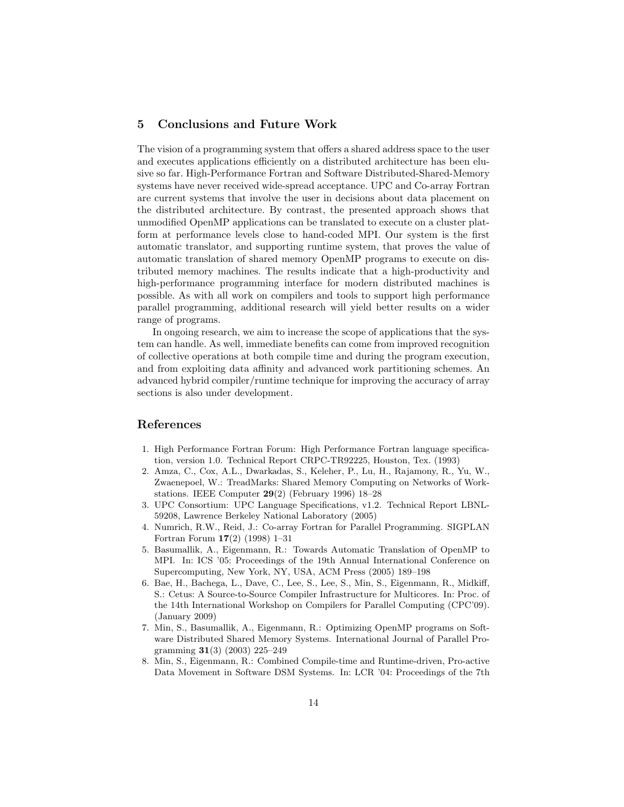## 5 Conclusions and Future Work

The vision of a programming system that offers a shared address space to the user and executes applications efficiently on a distributed architecture has been elusive so far. High-Performance Fortran and Software Distributed-Shared-Memory systems have never received wide-spread acceptance. UPC and Co-array Fortran are current systems that involve the user in decisions about data placement on the distributed architecture. By contrast, the presented approach shows that unmodified OpenMP applications can be translated to execute on a cluster platform at performance levels close to hand-coded MPI. Our system is the first automatic translator, and supporting runtime system, that proves the value of automatic translation of shared memory OpenMP programs to execute on distributed memory machines. The results indicate that a high-productivity and high-performance programming interface for modern distributed machines is possible. As with all work on compilers and tools to support high performance parallel programming, additional research will yield better results on a wider range of programs.

In ongoing research, we aim to increase the scope of applications that the system can handle. As well, immediate benefits can come from improved recognition of collective operations at both compile time and during the program execution, and from exploiting data affinity and advanced work partitioning schemes. An advanced hybrid compiler/runtime technique for improving the accuracy of array sections is also under development.

## References

- 1. High Performance Fortran Forum: High Performance Fortran language specification, version 1.0. Technical Report CRPC-TR92225, Houston, Tex. (1993)
- 2. Amza, C., Cox, A.L., Dwarkadas, S., Keleher, P., Lu, H., Rajamony, R., Yu, W., Zwaenepoel, W.: TreadMarks: Shared Memory Computing on Networks of Workstations. IEEE Computer 29(2) (February 1996) 18–28
- 3. UPC Consortium: UPC Language Specifications, v1.2. Technical Report LBNL-59208, Lawrence Berkeley National Laboratory (2005)
- 4. Numrich, R.W., Reid, J.: Co-array Fortran for Parallel Programming. SIGPLAN Fortran Forum 17(2) (1998) 1–31
- 5. Basumallik, A., Eigenmann, R.: Towards Automatic Translation of OpenMP to MPI. In: ICS '05: Proceedings of the 19th Annual International Conference on Supercomputing, New York, NY, USA, ACM Press (2005) 189–198
- 6. Bae, H., Bachega, L., Dave, C., Lee, S., Lee, S., Min, S., Eigenmann, R., Midkiff, S.: Cetus: A Source-to-Source Compiler Infrastructure for Multicores. In: Proc. of the 14th International Workshop on Compilers for Parallel Computing (CPC'09). (January 2009)
- 7. Min, S., Basumallik, A., Eigenmann, R.: Optimizing OpenMP programs on Software Distributed Shared Memory Systems. International Journal of Parallel Programming 31(3) (2003) 225–249
- 8. Min, S., Eigenmann, R.: Combined Compile-time and Runtime-driven, Pro-active Data Movement in Software DSM Systems. In: LCR '04: Proceedings of the 7th